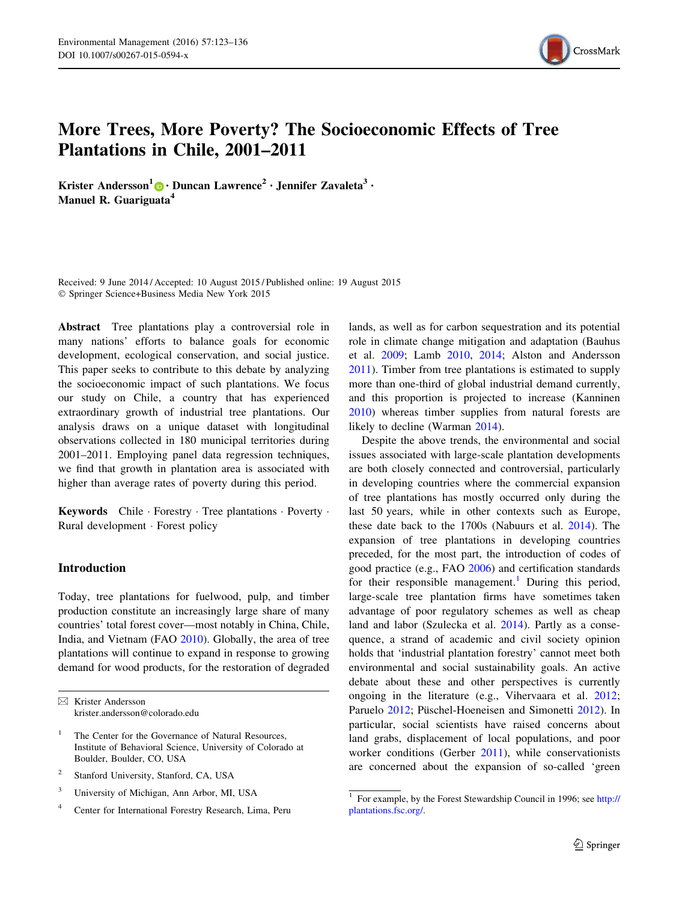

# More Trees, More Poverty? The Socioeconomic Effects of Tree Plantations in Chile, 2001–2011

Krister Andersson<sup>1</sup> [•](http://orcid.org/0000-0002-9320-8155) Duncan Lawrence<sup>2</sup> • Jennifer Zavaleta<sup>3</sup> • Manuel R. Guariguata<sup>4</sup>

Received: 9 June 2014 / Accepted: 10 August 2015 / Published online: 19 August 2015 - Springer Science+Business Media New York 2015

Abstract Tree plantations play a controversial role in many nations' efforts to balance goals for economic development, ecological conservation, and social justice. This paper seeks to contribute to this debate by analyzing the socioeconomic impact of such plantations. We focus our study on Chile, a country that has experienced extraordinary growth of industrial tree plantations. Our analysis draws on a unique dataset with longitudinal observations collected in 180 municipal territories during 2001–2011. Employing panel data regression techniques, we find that growth in plantation area is associated with higher than average rates of poverty during this period.

Keywords Chile · Forestry · Tree plantations · Poverty · Rural development - Forest policy

# Introduction

Today, tree plantations for fuelwood, pulp, and timber production constitute an increasingly large share of many countries' total forest cover—most notably in China, Chile, India, and Vietnam (FAO [2010](#page-12-0)). Globally, the area of tree plantations will continue to expand in response to growing demand for wood products, for the restoration of degraded

 $\boxtimes$  Krister Andersson krister.andersson@colorado.edu

- <sup>2</sup> Stanford University, Stanford, CA, USA
- <sup>3</sup> University of Michigan, Ann Arbor, MI, USA
- <sup>4</sup> Center for International Forestry Research, Lima, Peru

lands, as well as for carbon sequestration and its potential role in climate change mitigation and adaptation (Bauhus et al. [2009;](#page-12-0) Lamb [2010](#page-12-0), [2014;](#page-12-0) Alston and Andersson [2011](#page-11-0)). Timber from tree plantations is estimated to supply more than one-third of global industrial demand currently, and this proportion is projected to increase (Kanninen [2010](#page-12-0)) whereas timber supplies from natural forests are likely to decline (Warman [2014\)](#page-13-0).

Despite the above trends, the environmental and social issues associated with large-scale plantation developments are both closely connected and controversial, particularly in developing countries where the commercial expansion of tree plantations has mostly occurred only during the last 50 years, while in other contexts such as Europe, these date back to the 1700s (Nabuurs et al. [2014\)](#page-12-0). The expansion of tree plantations in developing countries preceded, for the most part, the introduction of codes of good practice (e.g., FAO [2006](#page-12-0)) and certification standards for their responsible management.<sup>1</sup> During this period, large-scale tree plantation firms have sometimes taken advantage of poor regulatory schemes as well as cheap land and labor (Szulecka et al. [2014](#page-13-0)). Partly as a consequence, a strand of academic and civil society opinion holds that 'industrial plantation forestry' cannot meet both environmental and social sustainability goals. An active debate about these and other perspectives is currently ongoing in the literature (e.g., Vihervaara et al. [2012](#page-13-0); Paruelo [2012](#page-12-0); Püschel-Hoeneisen and Simonetti [2012\)](#page-12-0). In particular, social scientists have raised concerns about land grabs, displacement of local populations, and poor worker conditions (Gerber [2011\)](#page-12-0), while conservationists are concerned about the expansion of so-called 'green

The Center for the Governance of Natural Resources, Institute of Behavioral Science, University of Colorado at Boulder, Boulder, CO, USA

<sup>1</sup> For example, by the Forest Stewardship Council in 1996; see [http://](http://plantations.fsc.org/) [plantations.fsc.org/](http://plantations.fsc.org/).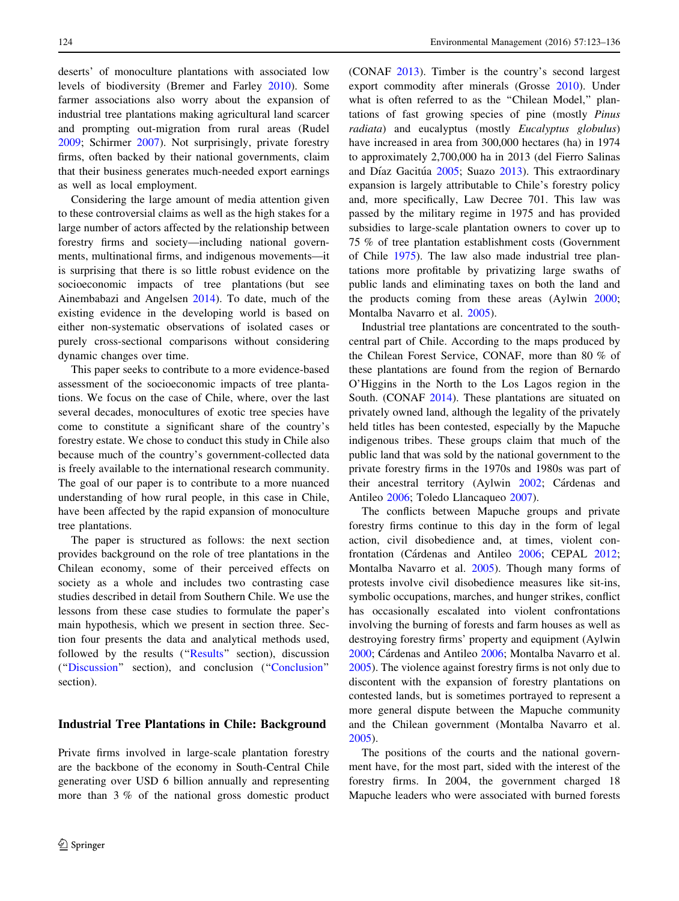deserts' of monoculture plantations with associated low levels of biodiversity (Bremer and Farley [2010](#page-12-0)). Some farmer associations also worry about the expansion of industrial tree plantations making agricultural land scarcer and prompting out-migration from rural areas (Rudel [2009;](#page-13-0) Schirmer [2007](#page-13-0)). Not surprisingly, private forestry firms, often backed by their national governments, claim that their business generates much-needed export earnings as well as local employment.

Considering the large amount of media attention given to these controversial claims as well as the high stakes for a large number of actors affected by the relationship between forestry firms and society—including national governments, multinational firms, and indigenous movements—it is surprising that there is so little robust evidence on the socioeconomic impacts of tree plantations (but see Ainembabazi and Angelsen [2014](#page-11-0)). To date, much of the existing evidence in the developing world is based on either non-systematic observations of isolated cases or purely cross-sectional comparisons without considering dynamic changes over time.

This paper seeks to contribute to a more evidence-based assessment of the socioeconomic impacts of tree plantations. We focus on the case of Chile, where, over the last several decades, monocultures of exotic tree species have come to constitute a significant share of the country's forestry estate. We chose to conduct this study in Chile also because much of the country's government-collected data is freely available to the international research community. The goal of our paper is to contribute to a more nuanced understanding of how rural people, in this case in Chile, have been affected by the rapid expansion of monoculture tree plantations.

The paper is structured as follows: the next section provides background on the role of tree plantations in the Chilean economy, some of their perceived effects on society as a whole and includes two contrasting case studies described in detail from Southern Chile. We use the lessons from these case studies to formulate the paper's main hypothesis, which we present in section three. Section four presents the data and analytical methods used, followed by the results ("[Results](#page-6-0)" section), discussion (''[Discussion'](#page-6-0)' section), and conclusion ('['Conclusion'](#page-6-0)' section).

#### Industrial Tree Plantations in Chile: Background

Private firms involved in large-scale plantation forestry are the backbone of the economy in South-Central Chile generating over USD 6 billion annually and representing more than 3 % of the national gross domestic product

(CONAF [2013](#page-12-0)). Timber is the country's second largest export commodity after minerals (Grosse [2010](#page-12-0)). Under what is often referred to as the "Chilean Model," plantations of fast growing species of pine (mostly Pinus radiata) and eucalyptus (mostly Eucalyptus globulus) have increased in area from 300,000 hectares (ha) in 1974 to approximately 2,700,000 ha in 2013 (del Fierro Salinas and Díaz Gacitúa [2005](#page-12-0); Suazo [2013](#page-13-0)). This extraordinary expansion is largely attributable to Chile's forestry policy and, more specifically, Law Decree 701. This law was passed by the military regime in 1975 and has provided subsidies to large-scale plantation owners to cover up to 75 % of tree plantation establishment costs (Government of Chile [1975](#page-12-0)). The law also made industrial tree plantations more profitable by privatizing large swaths of public lands and eliminating taxes on both the land and the products coming from these areas (Aylwin [2000](#page-11-0); Montalba Navarro et al. [2005](#page-12-0)).

Industrial tree plantations are concentrated to the southcentral part of Chile. According to the maps produced by the Chilean Forest Service, CONAF, more than 80 % of these plantations are found from the region of Bernardo O'Higgins in the North to the Los Lagos region in the South. (CONAF [2014\)](#page-12-0). These plantations are situated on privately owned land, although the legality of the privately held titles has been contested, especially by the Mapuche indigenous tribes. These groups claim that much of the public land that was sold by the national government to the private forestry firms in the 1970s and 1980s was part of their ancestral territory (Aylwin [2002](#page-11-0); Cárdenas and Antileo [2006](#page-12-0); Toledo Llancaqueo [2007](#page-13-0)).

The conflicts between Mapuche groups and private forestry firms continue to this day in the form of legal action, civil disobedience and, at times, violent con-frontation (Cárdenas and Antileo [2006;](#page-12-0) CEPAL [2012](#page-12-0); Montalba Navarro et al. [2005\)](#page-12-0). Though many forms of protests involve civil disobedience measures like sit-ins, symbolic occupations, marches, and hunger strikes, conflict has occasionally escalated into violent confrontations involving the burning of forests and farm houses as well as destroying forestry firms' property and equipment (Aylwin [2000](#page-11-0); Cárdenas and Antileo [2006;](#page-12-0) Montalba Navarro et al. [2005](#page-12-0)). The violence against forestry firms is not only due to discontent with the expansion of forestry plantations on contested lands, but is sometimes portrayed to represent a more general dispute between the Mapuche community and the Chilean government (Montalba Navarro et al. [2005](#page-12-0)).

The positions of the courts and the national government have, for the most part, sided with the interest of the forestry firms. In 2004, the government charged 18 Mapuche leaders who were associated with burned forests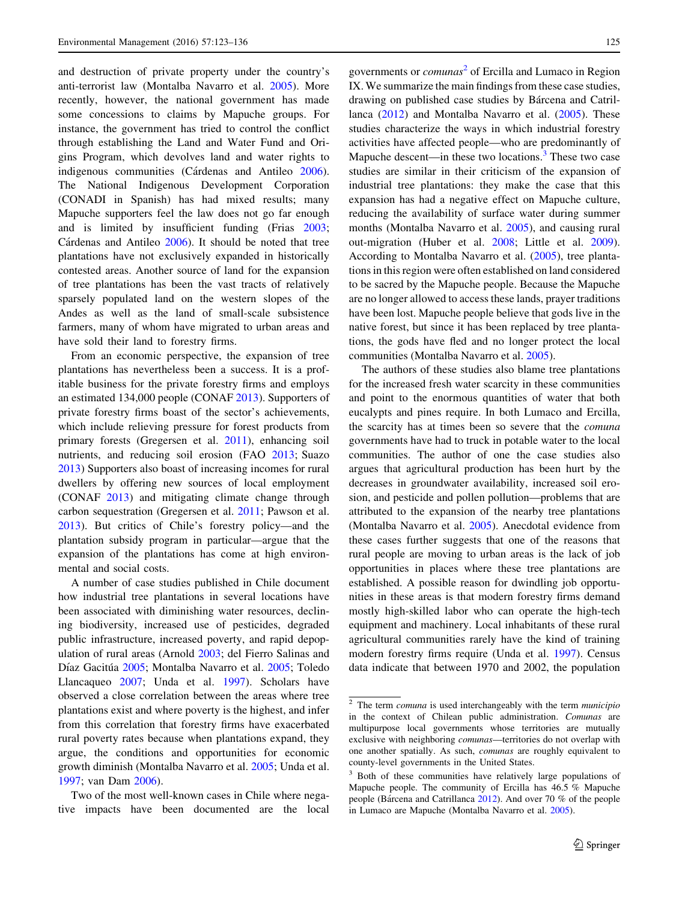and destruction of private property under the country's anti-terrorist law (Montalba Navarro et al. [2005\)](#page-12-0). More recently, however, the national government has made some concessions to claims by Mapuche groups. For instance, the government has tried to control the conflict through establishing the Land and Water Fund and Origins Program, which devolves land and water rights to indigenous communities (Cárdenas and Antileo [2006](#page-12-0)). The National Indigenous Development Corporation (CONADI in Spanish) has had mixed results; many Mapuche supporters feel the law does not go far enough and is limited by insufficient funding (Frias [2003](#page-12-0); Cárdenas and Antileo [2006\)](#page-12-0). It should be noted that tree plantations have not exclusively expanded in historically contested areas. Another source of land for the expansion of tree plantations has been the vast tracts of relatively sparsely populated land on the western slopes of the Andes as well as the land of small-scale subsistence farmers, many of whom have migrated to urban areas and have sold their land to forestry firms.

From an economic perspective, the expansion of tree plantations has nevertheless been a success. It is a profitable business for the private forestry firms and employs an estimated 134,000 people (CONAF [2013\)](#page-12-0). Supporters of private forestry firms boast of the sector's achievements, which include relieving pressure for forest products from primary forests (Gregersen et al. [2011](#page-12-0)), enhancing soil nutrients, and reducing soil erosion (FAO [2013;](#page-12-0) Suazo [2013\)](#page-13-0) Supporters also boast of increasing incomes for rural dwellers by offering new sources of local employment (CONAF [2013](#page-12-0)) and mitigating climate change through carbon sequestration (Gregersen et al. [2011;](#page-12-0) Pawson et al. [2013\)](#page-12-0). But critics of Chile's forestry policy—and the plantation subsidy program in particular—argue that the expansion of the plantations has come at high environmental and social costs.

A number of case studies published in Chile document how industrial tree plantations in several locations have been associated with diminishing water resources, declining biodiversity, increased use of pesticides, degraded public infrastructure, increased poverty, and rapid depopulation of rural areas (Arnold [2003;](#page-11-0) del Fierro Salinas and Díaz Gacitúa [2005;](#page-12-0) Montalba Navarro et al. 2005; Toledo Llancaqueo [2007](#page-13-0); Unda et al. [1997](#page-13-0)). Scholars have observed a close correlation between the areas where tree plantations exist and where poverty is the highest, and infer from this correlation that forestry firms have exacerbated rural poverty rates because when plantations expand, they argue, the conditions and opportunities for economic growth diminish (Montalba Navarro et al. [2005](#page-12-0); Unda et al. [1997;](#page-13-0) van Dam [2006\)](#page-13-0).

Two of the most well-known cases in Chile where negative impacts have been documented are the local governments or *comunas*<sup>2</sup> of Ercilla and Lumaco in Region IX. We summarize the main findings from these case studies, drawing on published case studies by Bárcena and Catrillanca ([2012\)](#page-12-0) and Montalba Navarro et al. [\(2005](#page-12-0)). These studies characterize the ways in which industrial forestry activities have affected people—who are predominantly of Mapuche descent—in these two locations. $<sup>3</sup>$  These two case</sup> studies are similar in their criticism of the expansion of industrial tree plantations: they make the case that this expansion has had a negative effect on Mapuche culture, reducing the availability of surface water during summer months (Montalba Navarro et al. [2005](#page-12-0)), and causing rural out-migration (Huber et al. [2008;](#page-12-0) Little et al. [2009](#page-12-0)). According to Montalba Navarro et al. ([2005\)](#page-12-0), tree plantations in this region were often established on land considered to be sacred by the Mapuche people. Because the Mapuche are no longer allowed to access these lands, prayer traditions have been lost. Mapuche people believe that gods live in the native forest, but since it has been replaced by tree plantations, the gods have fled and no longer protect the local communities (Montalba Navarro et al. [2005\)](#page-12-0).

The authors of these studies also blame tree plantations for the increased fresh water scarcity in these communities and point to the enormous quantities of water that both eucalypts and pines require. In both Lumaco and Ercilla, the scarcity has at times been so severe that the comuna governments have had to truck in potable water to the local communities. The author of one the case studies also argues that agricultural production has been hurt by the decreases in groundwater availability, increased soil erosion, and pesticide and pollen pollution—problems that are attributed to the expansion of the nearby tree plantations (Montalba Navarro et al. [2005\)](#page-12-0). Anecdotal evidence from these cases further suggests that one of the reasons that rural people are moving to urban areas is the lack of job opportunities in places where these tree plantations are established. A possible reason for dwindling job opportunities in these areas is that modern forestry firms demand mostly high-skilled labor who can operate the high-tech equipment and machinery. Local inhabitants of these rural agricultural communities rarely have the kind of training modern forestry firms require (Unda et al. [1997\)](#page-13-0). Census data indicate that between 1970 and 2002, the population

 $2$  The term *comuna* is used interchangeably with the term *municipio* in the context of Chilean public administration. Comunas are multipurpose local governments whose territories are mutually exclusive with neighboring comunas—territories do not overlap with one another spatially. As such, comunas are roughly equivalent to county-level governments in the United States.

<sup>3</sup> Both of these communities have relatively large populations of Mapuche people. The community of Ercilla has 46.5 % Mapuche people (Bárcena and Catrillanca [2012](#page-12-0)). And over 70 % of the people in Lumaco are Mapuche (Montalba Navarro et al. [2005\)](#page-12-0).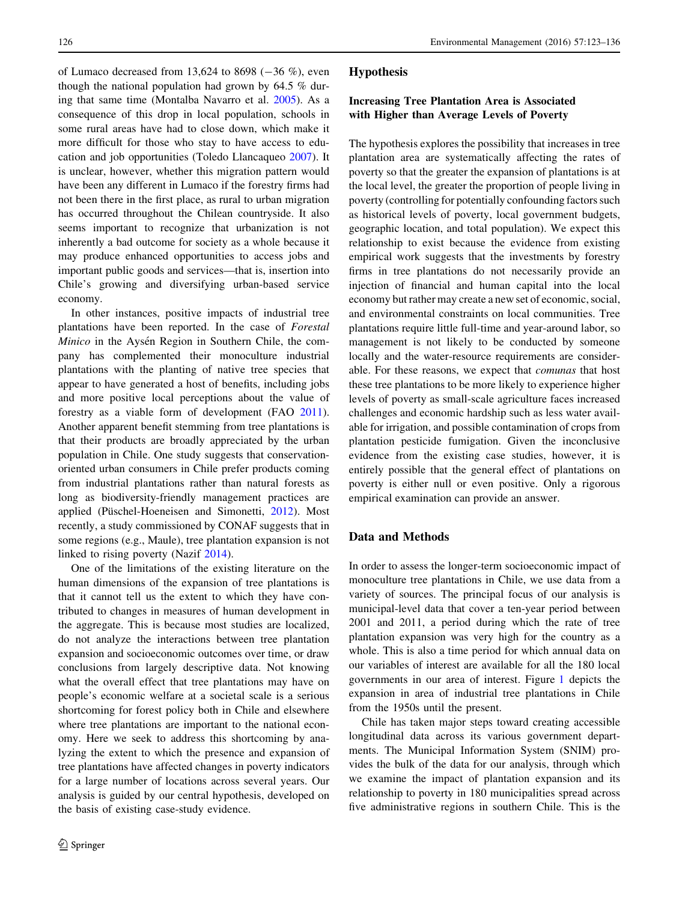of Lumaco decreased from 13,624 to 8698  $(-36\%)$ , even though the national population had grown by 64.5 % during that same time (Montalba Navarro et al. [2005\)](#page-12-0). As a consequence of this drop in local population, schools in some rural areas have had to close down, which make it more difficult for those who stay to have access to education and job opportunities (Toledo Llancaqueo [2007\)](#page-13-0). It is unclear, however, whether this migration pattern would have been any different in Lumaco if the forestry firms had not been there in the first place, as rural to urban migration has occurred throughout the Chilean countryside. It also seems important to recognize that urbanization is not inherently a bad outcome for society as a whole because it may produce enhanced opportunities to access jobs and important public goods and services—that is, insertion into Chile's growing and diversifying urban-based service economy.

In other instances, positive impacts of industrial tree plantations have been reported. In the case of Forestal Minico in the Aysén Region in Southern Chile, the company has complemented their monoculture industrial plantations with the planting of native tree species that appear to have generated a host of benefits, including jobs and more positive local perceptions about the value of forestry as a viable form of development (FAO [2011](#page-12-0)). Another apparent benefit stemming from tree plantations is that their products are broadly appreciated by the urban population in Chile. One study suggests that conservationoriented urban consumers in Chile prefer products coming from industrial plantations rather than natural forests as long as biodiversity-friendly management practices are applied (Püschel-Hoeneisen and Simonetti, [2012\)](#page-12-0). Most recently, a study commissioned by CONAF suggests that in some regions (e.g., Maule), tree plantation expansion is not linked to rising poverty (Nazif [2014](#page-12-0)).

One of the limitations of the existing literature on the human dimensions of the expansion of tree plantations is that it cannot tell us the extent to which they have contributed to changes in measures of human development in the aggregate. This is because most studies are localized, do not analyze the interactions between tree plantation expansion and socioeconomic outcomes over time, or draw conclusions from largely descriptive data. Not knowing what the overall effect that tree plantations may have on people's economic welfare at a societal scale is a serious shortcoming for forest policy both in Chile and elsewhere where tree plantations are important to the national economy. Here we seek to address this shortcoming by analyzing the extent to which the presence and expansion of tree plantations have affected changes in poverty indicators for a large number of locations across several years. Our analysis is guided by our central hypothesis, developed on the basis of existing case-study evidence.

## Hypothesis

## Increasing Tree Plantation Area is Associated with Higher than Average Levels of Poverty

The hypothesis explores the possibility that increases in tree plantation area are systematically affecting the rates of poverty so that the greater the expansion of plantations is at the local level, the greater the proportion of people living in poverty (controlling for potentially confounding factors such as historical levels of poverty, local government budgets, geographic location, and total population). We expect this relationship to exist because the evidence from existing empirical work suggests that the investments by forestry firms in tree plantations do not necessarily provide an injection of financial and human capital into the local economy but rather may create a new set of economic, social, and environmental constraints on local communities. Tree plantations require little full-time and year-around labor, so management is not likely to be conducted by someone locally and the water-resource requirements are considerable. For these reasons, we expect that comunas that host these tree plantations to be more likely to experience higher levels of poverty as small-scale agriculture faces increased challenges and economic hardship such as less water available for irrigation, and possible contamination of crops from plantation pesticide fumigation. Given the inconclusive evidence from the existing case studies, however, it is entirely possible that the general effect of plantations on poverty is either null or even positive. Only a rigorous empirical examination can provide an answer.

## Data and Methods

In order to assess the longer-term socioeconomic impact of monoculture tree plantations in Chile, we use data from a variety of sources. The principal focus of our analysis is municipal-level data that cover a ten-year period between 2001 and 2011, a period during which the rate of tree plantation expansion was very high for the country as a whole. This is also a time period for which annual data on our variables of interest are available for all the 180 local governments in our area of interest. Figure [1](#page-4-0) depicts the expansion in area of industrial tree plantations in Chile from the 1950s until the present.

Chile has taken major steps toward creating accessible longitudinal data across its various government departments. The Municipal Information System (SNIM) provides the bulk of the data for our analysis, through which we examine the impact of plantation expansion and its relationship to poverty in 180 municipalities spread across five administrative regions in southern Chile. This is the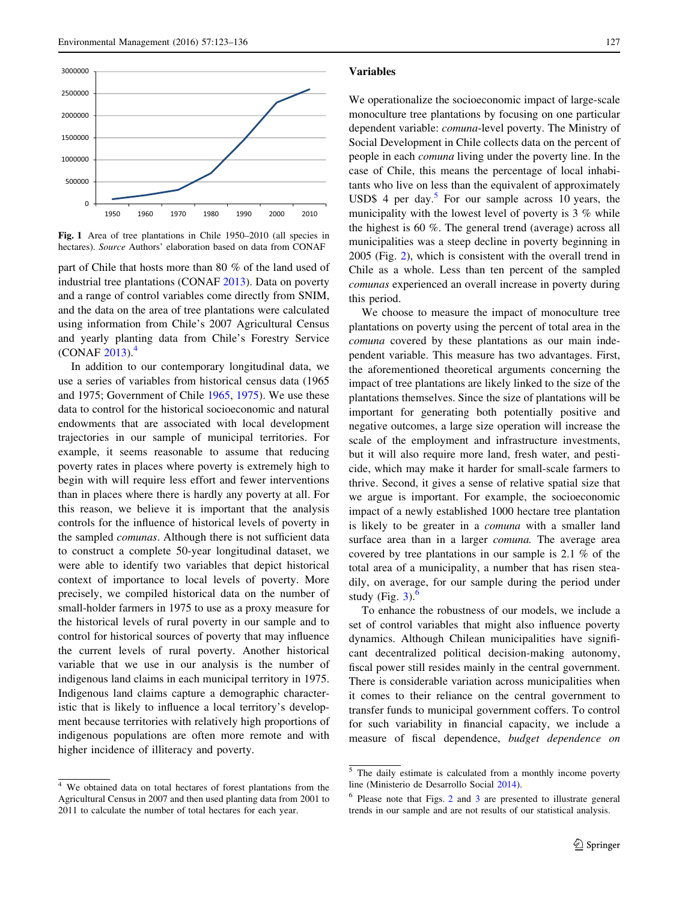<span id="page-4-0"></span>

Fig. 1 Area of tree plantations in Chile 1950–2010 (all species in hectares). Source Authors' elaboration based on data from CONAF

part of Chile that hosts more than 80 % of the land used of industrial tree plantations (CONAF [2013\)](#page-12-0). Data on poverty and a range of control variables come directly from SNIM, and the data on the area of tree plantations were calculated using information from Chile's 2007 Agricultural Census and yearly planting data from Chile's Forestry Service  $(CONAF 2013).<sup>4</sup>$  $(CONAF 2013).<sup>4</sup>$  $(CONAF 2013).<sup>4</sup>$ 

In addition to our contemporary longitudinal data, we use a series of variables from historical census data (1965 and 1975; Government of Chile [1965,](#page-12-0) [1975](#page-12-0)). We use these data to control for the historical socioeconomic and natural endowments that are associated with local development trajectories in our sample of municipal territories. For example, it seems reasonable to assume that reducing poverty rates in places where poverty is extremely high to begin with will require less effort and fewer interventions than in places where there is hardly any poverty at all. For this reason, we believe it is important that the analysis controls for the influence of historical levels of poverty in the sampled comunas. Although there is not sufficient data to construct a complete 50-year longitudinal dataset, we were able to identify two variables that depict historical context of importance to local levels of poverty. More precisely, we compiled historical data on the number of small-holder farmers in 1975 to use as a proxy measure for the historical levels of rural poverty in our sample and to control for historical sources of poverty that may influence the current levels of rural poverty. Another historical variable that we use in our analysis is the number of indigenous land claims in each municipal territory in 1975. Indigenous land claims capture a demographic characteristic that is likely to influence a local territory's development because territories with relatively high proportions of indigenous populations are often more remote and with higher incidence of illiteracy and poverty.

#### Variables

We operationalize the socioeconomic impact of large-scale monoculture tree plantations by focusing on one particular dependent variable: comuna-level poverty. The Ministry of Social Development in Chile collects data on the percent of people in each comuna living under the poverty line. In the case of Chile, this means the percentage of local inhabitants who live on less than the equivalent of approximately USD\$ 4 per day.<sup>5</sup> For our sample across 10 years, the municipality with the lowest level of poverty is 3 % while the highest is 60 %. The general trend (average) across all municipalities was a steep decline in poverty beginning in 2005 (Fig. [2\)](#page-5-0), which is consistent with the overall trend in Chile as a whole. Less than ten percent of the sampled comunas experienced an overall increase in poverty during this period.

We choose to measure the impact of monoculture tree plantations on poverty using the percent of total area in the comuna covered by these plantations as our main independent variable. This measure has two advantages. First, the aforementioned theoretical arguments concerning the impact of tree plantations are likely linked to the size of the plantations themselves. Since the size of plantations will be important for generating both potentially positive and negative outcomes, a large size operation will increase the scale of the employment and infrastructure investments, but it will also require more land, fresh water, and pesticide, which may make it harder for small-scale farmers to thrive. Second, it gives a sense of relative spatial size that we argue is important. For example, the socioeconomic impact of a newly established 1000 hectare tree plantation is likely to be greater in a comuna with a smaller land surface area than in a larger *comuna*. The average area covered by tree plantations in our sample is 2.1 % of the total area of a municipality, a number that has risen steadily, on average, for our sample during the period under study (Fig.  $3)$ .<sup>6</sup>

To enhance the robustness of our models, we include a set of control variables that might also influence poverty dynamics. Although Chilean municipalities have significant decentralized political decision-making autonomy, fiscal power still resides mainly in the central government. There is considerable variation across municipalities when it comes to their reliance on the central government to transfer funds to municipal government coffers. To control for such variability in financial capacity, we include a measure of fiscal dependence, budget dependence on

<sup>4</sup> We obtained data on total hectares of forest plantations from the Agricultural Census in 2007 and then used planting data from 2001 to 2011 to calculate the number of total hectares for each year.

<sup>5</sup> The daily estimate is calculated from a monthly income poverty line (Ministerio de Desarrollo Social [2014](#page-12-0)).

<sup>6</sup> Please note that Figs. [2](#page-5-0) and [3](#page-5-0) are presented to illustrate general trends in our sample and are not results of our statistical analysis.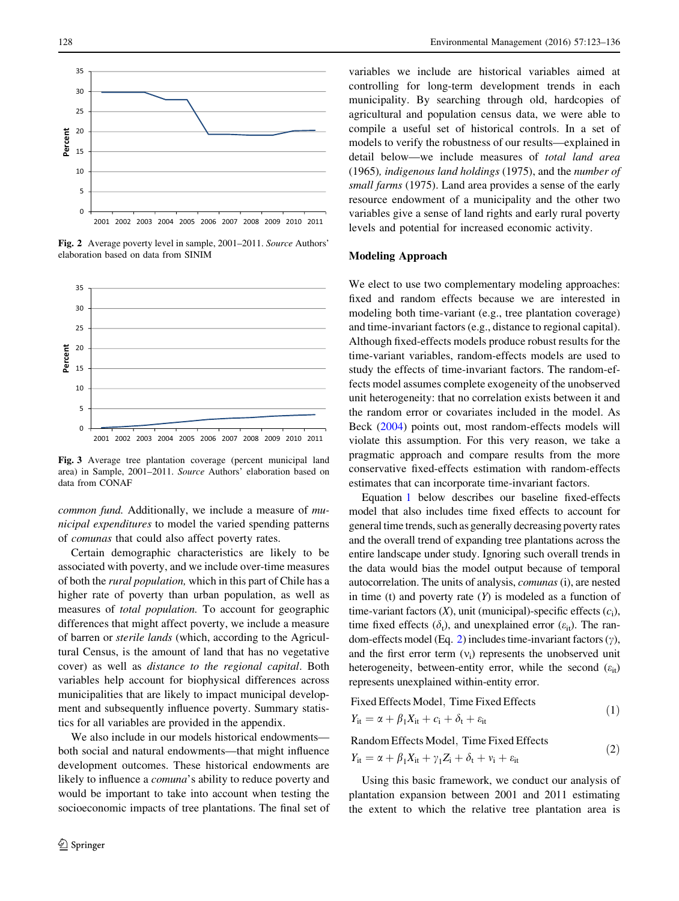<span id="page-5-0"></span>

Fig. 2 Average poverty level in sample, 2001–2011. Source Authors' elaboration based on data from SINIM



Fig. 3 Average tree plantation coverage (percent municipal land area) in Sample, 2001–2011. Source Authors' elaboration based on data from CONAF

common fund. Additionally, we include a measure of municipal expenditures to model the varied spending patterns of comunas that could also affect poverty rates.

Certain demographic characteristics are likely to be associated with poverty, and we include over-time measures of both the rural population, which in this part of Chile has a higher rate of poverty than urban population, as well as measures of total population. To account for geographic differences that might affect poverty, we include a measure of barren or sterile lands (which, according to the Agricultural Census, is the amount of land that has no vegetative cover) as well as distance to the regional capital. Both variables help account for biophysical differences across municipalities that are likely to impact municipal development and subsequently influence poverty. Summary statistics for all variables are provided in the appendix.

We also include in our models historical endowments both social and natural endowments—that might influence development outcomes. These historical endowments are likely to influence a *comuna*'s ability to reduce poverty and would be important to take into account when testing the socioeconomic impacts of tree plantations. The final set of

variables we include are historical variables aimed at controlling for long-term development trends in each municipality. By searching through old, hardcopies of agricultural and population census data, we were able to compile a useful set of historical controls. In a set of models to verify the robustness of our results—explained in detail below—we include measures of total land area (1965), indigenous land holdings (1975), and the number of small farms (1975). Land area provides a sense of the early resource endowment of a municipality and the other two variables give a sense of land rights and early rural poverty levels and potential for increased economic activity.

#### Modeling Approach

We elect to use two complementary modeling approaches: fixed and random effects because we are interested in modeling both time-variant (e.g., tree plantation coverage) and time-invariant factors (e.g., distance to regional capital). Although fixed-effects models produce robust results for the time-variant variables, random-effects models are used to study the effects of time-invariant factors. The random-effects model assumes complete exogeneity of the unobserved unit heterogeneity: that no correlation exists between it and the random error or covariates included in the model. As Beck ([2004\)](#page-12-0) points out, most random-effects models will violate this assumption. For this very reason, we take a pragmatic approach and compare results from the more conservative fixed-effects estimation with random-effects estimates that can incorporate time-invariant factors.

Equation 1 below describes our baseline fixed-effects model that also includes time fixed effects to account for general time trends, such as generally decreasing poverty rates and the overall trend of expanding tree plantations across the entire landscape under study. Ignoring such overall trends in the data would bias the model output because of temporal autocorrelation. The units of analysis, comunas (i), are nested in time (t) and poverty rate  $(Y)$  is modeled as a function of time-variant factors  $(X)$ , unit (municipal)-specific effects  $(c_i)$ , time fixed effects ( $\delta_t$ ), and unexplained error ( $\varepsilon_t$ ). The random-effects model (Eq. 2) includes time-invariant factors  $(y)$ , and the first error term  $(v_i)$  represents the unobserved unit heterogeneity, between-entity error, while the second  $(\varepsilon_{it})$ represents unexplained within-entity error.

Fixed Effects Model; Time Fixed Effects  $(1)$ 

$$
Y_{it} = \alpha + \beta_1 X_{it} + c_i + \delta_t + \varepsilon_{it}
$$

Random Effects Model; Time Fixed Effects  $(2)$ 

$$
Y_{it} = \alpha + \beta_1 X_{it} + \gamma_1 Z_i + \delta_t + v_i + \varepsilon_{it}
$$

Using this basic framework, we conduct our analysis of plantation expansion between 2001 and 2011 estimating the extent to which the relative tree plantation area is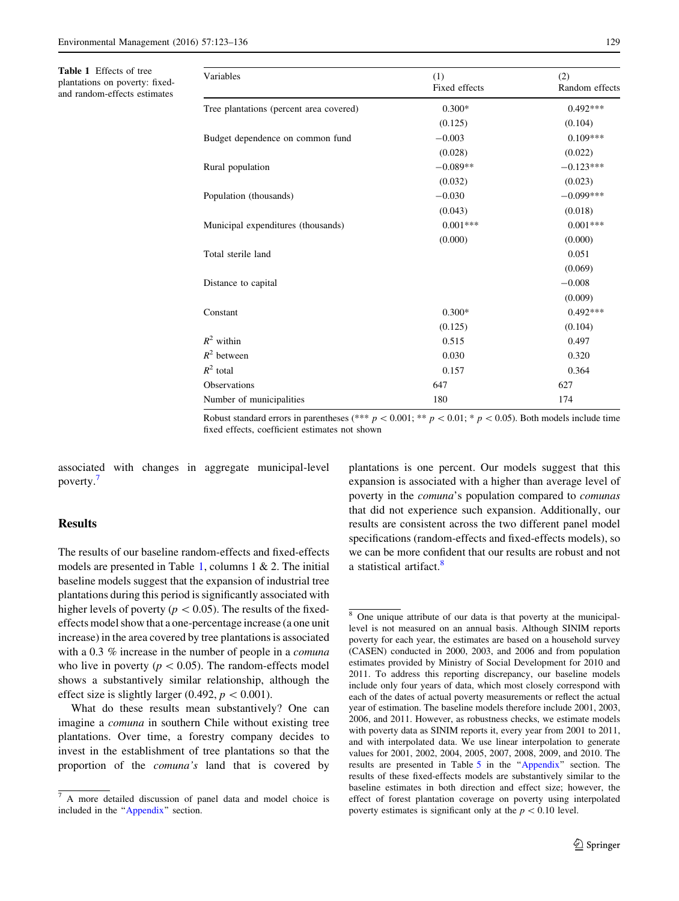<span id="page-6-0"></span>Table 1 Effects of tree plantations on poverty: fixedand random-effects estimates

| Variables                          | (1)<br>Fixed effects | (2)<br>Random effects |
|------------------------------------|----------------------|-----------------------|
|                                    |                      |                       |
| (0.125)                            | (0.104)              |                       |
| Budget dependence on common fund   | $-0.003$             | $0.109***$            |
|                                    | (0.028)              | (0.022)               |
| Rural population                   | $-0.089**$           | $-0.123***$           |
|                                    | (0.032)              | (0.023)               |
| Population (thousands)             | $-0.030$             | $-0.099***$           |
|                                    | (0.043)              | (0.018)               |
| Municipal expenditures (thousands) | $0.001***$           | $0.001***$            |
|                                    | (0.000)              | (0.000)               |
| Total sterile land                 |                      | 0.051                 |
|                                    |                      | (0.069)               |
| Distance to capital                |                      | $-0.008$              |
|                                    |                      | (0.009)               |
| Constant                           | $0.300*$             | $0.492***$            |
|                                    | (0.125)              | (0.104)               |
| $R^2$ within                       | 0.515                | 0.497                 |
| $R^2$ between                      | 0.030                | 0.320                 |
| $R^2$ total                        | 0.157                | 0.364                 |
| <b>Observations</b>                | 647                  | 627                   |
| Number of municipalities           | 180                  | 174                   |

Robust standard errors in parentheses (\*\*\*  $p \lt 0.001$ ; \*\*  $p \lt 0.01$ ; \*  $p \lt 0.05$ ). Both models include time fixed effects, coefficient estimates not shown

associated with changes in aggregate municipal-level poverty.7

# Results

The results of our baseline random-effects and fixed-effects models are presented in Table 1, columns  $1 \& 2$ . The initial baseline models suggest that the expansion of industrial tree plantations during this period is significantly associated with higher levels of poverty ( $p < 0.05$ ). The results of the fixedeffects model show that a one-percentage increase (a one unit increase) in the area covered by tree plantations is associated with a 0.3 % increase in the number of people in a *comuna* who live in poverty ( $p<0.05$ ). The random-effects model shows a substantively similar relationship, although the effect size is slightly larger (0.492,  $p < 0.001$ ).

What do these results mean substantively? One can imagine a comuna in southern Chile without existing tree plantations. Over time, a forestry company decides to invest in the establishment of tree plantations so that the proportion of the comuna's land that is covered by

plantations is one percent. Our models suggest that this expansion is associated with a higher than average level of poverty in the comuna's population compared to comunas that did not experience such expansion. Additionally, our results are consistent across the two different panel model specifications (random-effects and fixed-effects models), so we can be more confident that our results are robust and not a statistical artifact.<sup>8</sup>

<sup>7</sup> A more detailed discussion of panel data and model choice is included in the '['Appendix'](#page-10-0)' section.

<sup>8</sup> One unique attribute of our data is that poverty at the municipallevel is not measured on an annual basis. Although SINIM reports poverty for each year, the estimates are based on a household survey (CASEN) conducted in 2000, 2003, and 2006 and from population estimates provided by Ministry of Social Development for 2010 and 2011. To address this reporting discrepancy, our baseline models include only four years of data, which most closely correspond with each of the dates of actual poverty measurements or reflect the actual year of estimation. The baseline models therefore include 2001, 2003, 2006, and 2011. However, as robustness checks, we estimate models with poverty data as SINIM reports it, every year from 2001 to 2011, and with interpolated data. We use linear interpolation to generate values for 2001, 2002, 2004, 2005, 2007, 2008, 2009, and 2010. The results are presented in Table [5](#page-11-0) in the ''[Appendix](#page-10-0)'' section. The results of these fixed-effects models are substantively similar to the baseline estimates in both direction and effect size; however, the effect of forest plantation coverage on poverty using interpolated poverty estimates is significant only at the  $p < 0.10$  level.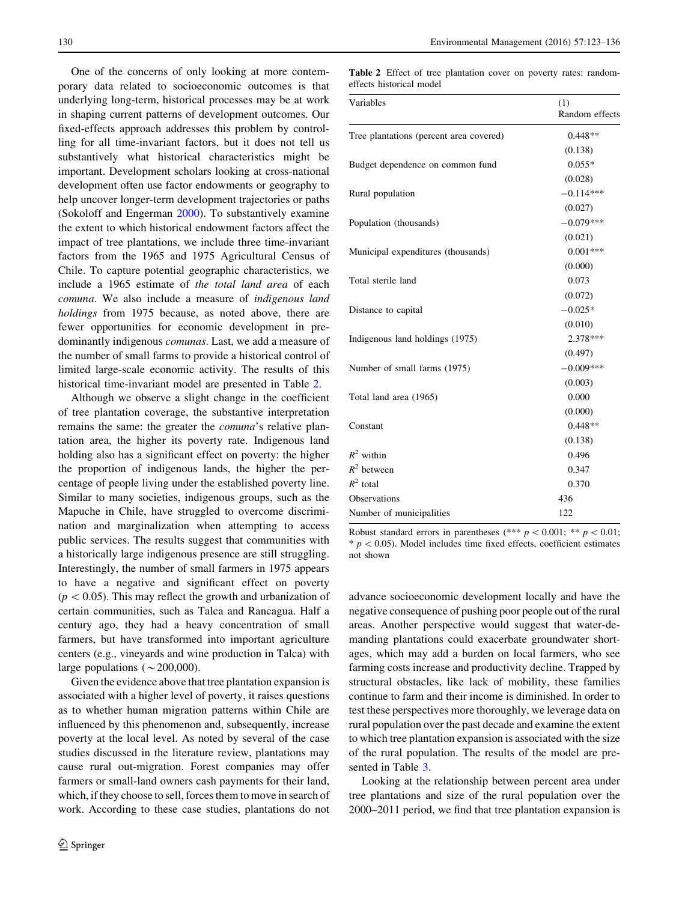One of the concerns of only looking at more contemporary data related to socioeconomic outcomes is that underlying long-term, historical processes may be at work in shaping current patterns of development outcomes. Our fixed-effects approach addresses this problem by controlling for all time-invariant factors, but it does not tell us substantively what historical characteristics might be important. Development scholars looking at cross-national development often use factor endowments or geography to help uncover longer-term development trajectories or paths (Sokoloff and Engerman [2000](#page-13-0)). To substantively examine the extent to which historical endowment factors affect the impact of tree plantations, we include three time-invariant factors from the 1965 and 1975 Agricultural Census of Chile. To capture potential geographic characteristics, we include a 1965 estimate of the total land area of each comuna. We also include a measure of indigenous land holdings from 1975 because, as noted above, there are fewer opportunities for economic development in predominantly indigenous comunas. Last, we add a measure of the number of small farms to provide a historical control of limited large-scale economic activity. The results of this historical time-invariant model are presented in Table 2.

Although we observe a slight change in the coefficient of tree plantation coverage, the substantive interpretation remains the same: the greater the *comuna*'s relative plantation area, the higher its poverty rate. Indigenous land holding also has a significant effect on poverty: the higher the proportion of indigenous lands, the higher the percentage of people living under the established poverty line. Similar to many societies, indigenous groups, such as the Mapuche in Chile, have struggled to overcome discrimination and marginalization when attempting to access public services. The results suggest that communities with a historically large indigenous presence are still struggling. Interestingly, the number of small farmers in 1975 appears to have a negative and significant effect on poverty  $(p<0.05)$ . This may reflect the growth and urbanization of certain communities, such as Talca and Rancagua. Half a century ago, they had a heavy concentration of small farmers, but have transformed into important agriculture centers (e.g., vineyards and wine production in Talca) with large populations ( $\sim$  200,000).

Given the evidence above that tree plantation expansion is associated with a higher level of poverty, it raises questions as to whether human migration patterns within Chile are influenced by this phenomenon and, subsequently, increase poverty at the local level. As noted by several of the case studies discussed in the literature review, plantations may cause rural out-migration. Forest companies may offer farmers or small-land owners cash payments for their land, which, if they choose to sell, forces them to move in search of work. According to these case studies, plantations do not Table 2 Effect of tree plantation cover on poverty rates: randomeffects historical model

| Variables                               | (1)<br>Random effects |
|-----------------------------------------|-----------------------|
| Tree plantations (percent area covered) | $0.448**$             |
|                                         | (0.138)               |
| Budget dependence on common fund        | $0.055*$              |
|                                         | (0.028)               |
| Rural population                        | $-0.114***$           |
|                                         | (0.027)               |
| Population (thousands)                  | $-0.079***$           |
|                                         | (0.021)               |
| Municipal expenditures (thousands)      | $0.001***$            |
|                                         | (0.000)               |
| Total sterile land                      | 0.073                 |
|                                         | (0.072)               |
| Distance to capital                     | $-0.025*$             |
|                                         | (0.010)               |
| Indigenous land holdings (1975)         | 2.378***              |
|                                         | (0.497)               |
| Number of small farms (1975)            | $-0.009***$           |
|                                         | (0.003)               |
| Total land area (1965)                  | 0.000                 |
|                                         | (0.000)               |
| Constant                                | $0.448**$             |
|                                         | (0.138)               |
| $R^2$ within                            | 0.496                 |
| $R^2$ between                           | 0.347                 |
| $R^2$ total                             | 0.370                 |
| <b>Observations</b>                     | 436                   |
| Number of municipalities                | 122                   |

Robust standard errors in parentheses (\*\*\*  $p < 0.001$ ; \*\*  $p < 0.01$ ;  $* p < 0.05$ ). Model includes time fixed effects, coefficient estimates not shown

advance socioeconomic development locally and have the negative consequence of pushing poor people out of the rural areas. Another perspective would suggest that water-demanding plantations could exacerbate groundwater shortages, which may add a burden on local farmers, who see farming costs increase and productivity decline. Trapped by structural obstacles, like lack of mobility, these families continue to farm and their income is diminished. In order to test these perspectives more thoroughly, we leverage data on rural population over the past decade and examine the extent to which tree plantation expansion is associated with the size of the rural population. The results of the model are presented in Table [3.](#page-8-0)

Looking at the relationship between percent area under tree plantations and size of the rural population over the 2000–2011 period, we find that tree plantation expansion is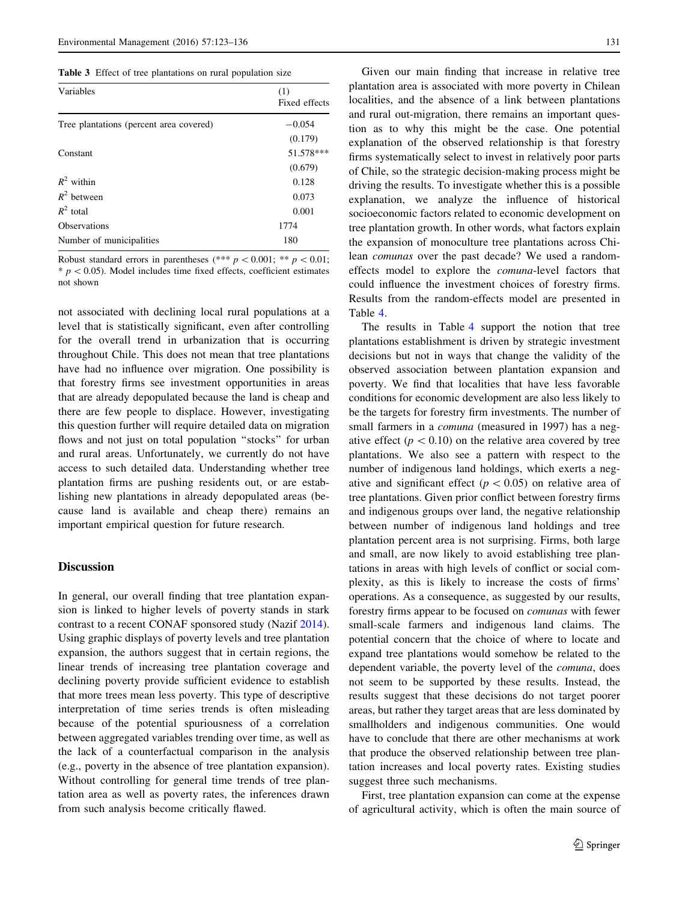<span id="page-8-0"></span>Table 3 Effect of tree plantations on rural population size

| Variables                               | (1)<br>Fixed effects |
|-----------------------------------------|----------------------|
| Tree plantations (percent area covered) | $-0.054$             |
|                                         | (0.179)              |
| Constant                                | 51.578***            |
|                                         | (0.679)              |
| $R^2$ within                            | 0.128                |
| $R^2$ between                           | 0.073                |
| $R^2$ total                             | 0.001                |
| <b>Observations</b>                     | 1774                 |
| Number of municipalities                | 180                  |

Robust standard errors in parentheses (\*\*\*  $p < 0.001$ ; \*\*  $p < 0.01$ ;  $* p < 0.05$ ). Model includes time fixed effects, coefficient estimates not shown

not associated with declining local rural populations at a level that is statistically significant, even after controlling for the overall trend in urbanization that is occurring throughout Chile. This does not mean that tree plantations have had no influence over migration. One possibility is that forestry firms see investment opportunities in areas that are already depopulated because the land is cheap and there are few people to displace. However, investigating this question further will require detailed data on migration flows and not just on total population "stocks" for urban and rural areas. Unfortunately, we currently do not have access to such detailed data. Understanding whether tree plantation firms are pushing residents out, or are establishing new plantations in already depopulated areas (because land is available and cheap there) remains an important empirical question for future research.

#### **Discussion**

In general, our overall finding that tree plantation expansion is linked to higher levels of poverty stands in stark contrast to a recent CONAF sponsored study (Nazif [2014](#page-12-0)). Using graphic displays of poverty levels and tree plantation expansion, the authors suggest that in certain regions, the linear trends of increasing tree plantation coverage and declining poverty provide sufficient evidence to establish that more trees mean less poverty. This type of descriptive interpretation of time series trends is often misleading because of the potential spuriousness of a correlation between aggregated variables trending over time, as well as the lack of a counterfactual comparison in the analysis (e.g., poverty in the absence of tree plantation expansion). Without controlling for general time trends of tree plantation area as well as poverty rates, the inferences drawn from such analysis become critically flawed.

Given our main finding that increase in relative tree plantation area is associated with more poverty in Chilean localities, and the absence of a link between plantations and rural out-migration, there remains an important question as to why this might be the case. One potential explanation of the observed relationship is that forestry firms systematically select to invest in relatively poor parts of Chile, so the strategic decision-making process might be driving the results. To investigate whether this is a possible explanation, we analyze the influence of historical socioeconomic factors related to economic development on tree plantation growth. In other words, what factors explain the expansion of monoculture tree plantations across Chilean comunas over the past decade? We used a randomeffects model to explore the comuna-level factors that could influence the investment choices of forestry firms. Results from the random-effects model are presented in Table [4](#page-9-0).

The results in Table [4](#page-9-0) support the notion that tree plantations establishment is driven by strategic investment decisions but not in ways that change the validity of the observed association between plantation expansion and poverty. We find that localities that have less favorable conditions for economic development are also less likely to be the targets for forestry firm investments. The number of small farmers in a *comuna* (measured in 1997) has a negative effect ( $p < 0.10$ ) on the relative area covered by tree plantations. We also see a pattern with respect to the number of indigenous land holdings, which exerts a negative and significant effect ( $p < 0.05$ ) on relative area of tree plantations. Given prior conflict between forestry firms and indigenous groups over land, the negative relationship between number of indigenous land holdings and tree plantation percent area is not surprising. Firms, both large and small, are now likely to avoid establishing tree plantations in areas with high levels of conflict or social complexity, as this is likely to increase the costs of firms' operations. As a consequence, as suggested by our results, forestry firms appear to be focused on comunas with fewer small-scale farmers and indigenous land claims. The potential concern that the choice of where to locate and expand tree plantations would somehow be related to the dependent variable, the poverty level of the comuna, does not seem to be supported by these results. Instead, the results suggest that these decisions do not target poorer areas, but rather they target areas that are less dominated by smallholders and indigenous communities. One would have to conclude that there are other mechanisms at work that produce the observed relationship between tree plantation increases and local poverty rates. Existing studies suggest three such mechanisms.

First, tree plantation expansion can come at the expense of agricultural activity, which is often the main source of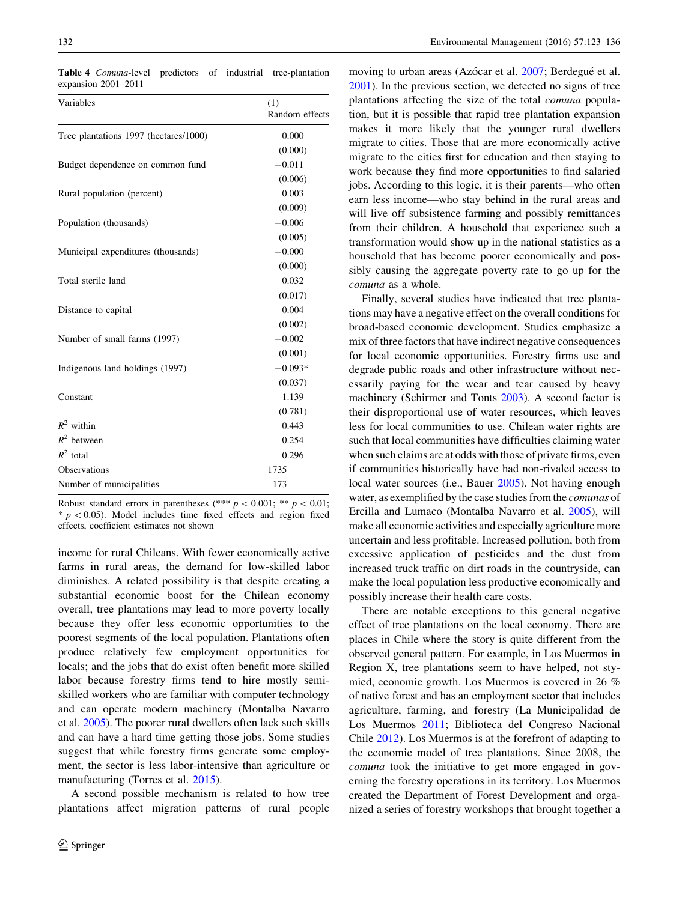<span id="page-9-0"></span>Table 4 Comuna-level predictors of industrial tree-plantation expansion 2001–2011

| Variables                             | (1)            |  |
|---------------------------------------|----------------|--|
|                                       | Random effects |  |
| Tree plantations 1997 (hectares/1000) | 0.000          |  |
|                                       | (0.000)        |  |
| Budget dependence on common fund      | $-0.011$       |  |
|                                       | (0.006)        |  |
| Rural population (percent)            | 0.003          |  |
|                                       | (0.009)        |  |
| Population (thousands)                | $-0.006$       |  |
|                                       | (0.005)        |  |
| Municipal expenditures (thousands)    | $-0.000$       |  |
|                                       | (0.000)        |  |
| Total sterile land                    | 0.032          |  |
|                                       | (0.017)        |  |
| Distance to capital                   | 0.004          |  |
|                                       | (0.002)        |  |
| Number of small farms (1997)          | $-0.002$       |  |
|                                       | (0.001)        |  |
| Indigenous land holdings (1997)       | $-0.093*$      |  |
|                                       | (0.037)        |  |
| Constant                              | 1.139          |  |
|                                       | (0.781)        |  |
| $R^2$ within                          | 0.443          |  |
| $R^2$ between                         | 0.254          |  |
| $R^2$ total                           | 0.296          |  |
| Observations                          | 1735           |  |
| Number of municipalities              | 173            |  |

Robust standard errors in parentheses (\*\*\*  $p < 0.001$ ; \*\*  $p < 0.01$ ;  $* p \lt 0.05$ ). Model includes time fixed effects and region fixed effects, coefficient estimates not shown

income for rural Chileans. With fewer economically active farms in rural areas, the demand for low-skilled labor diminishes. A related possibility is that despite creating a substantial economic boost for the Chilean economy overall, tree plantations may lead to more poverty locally because they offer less economic opportunities to the poorest segments of the local population. Plantations often produce relatively few employment opportunities for locals; and the jobs that do exist often benefit more skilled labor because forestry firms tend to hire mostly semiskilled workers who are familiar with computer technology and can operate modern machinery (Montalba Navarro et al. [2005\)](#page-12-0). The poorer rural dwellers often lack such skills and can have a hard time getting those jobs. Some studies suggest that while forestry firms generate some employment, the sector is less labor-intensive than agriculture or manufacturing (Torres et al. [2015](#page-13-0)).

A second possible mechanism is related to how tree plantations affect migration patterns of rural people

moving to urban areas (Azócar et al. [2007](#page-12-0); Berdegué et al. [2001](#page-12-0)). In the previous section, we detected no signs of tree plantations affecting the size of the total comuna population, but it is possible that rapid tree plantation expansion makes it more likely that the younger rural dwellers migrate to cities. Those that are more economically active migrate to the cities first for education and then staying to work because they find more opportunities to find salaried jobs. According to this logic, it is their parents—who often earn less income—who stay behind in the rural areas and will live off subsistence farming and possibly remittances from their children. A household that experience such a transformation would show up in the national statistics as a household that has become poorer economically and possibly causing the aggregate poverty rate to go up for the comuna as a whole.

Finally, several studies have indicated that tree plantations may have a negative effect on the overall conditions for broad-based economic development. Studies emphasize a mix of three factors that have indirect negative consequences for local economic opportunities. Forestry firms use and degrade public roads and other infrastructure without necessarily paying for the wear and tear caused by heavy machinery (Schirmer and Tonts [2003\)](#page-13-0). A second factor is their disproportional use of water resources, which leaves less for local communities to use. Chilean water rights are such that local communities have difficulties claiming water when such claims are at odds with those of private firms, even if communities historically have had non-rivaled access to local water sources (i.e., Bauer [2005\)](#page-12-0). Not having enough water, as exemplified by the case studies from the comunas of Ercilla and Lumaco (Montalba Navarro et al. [2005\)](#page-12-0), will make all economic activities and especially agriculture more uncertain and less profitable. Increased pollution, both from excessive application of pesticides and the dust from increased truck traffic on dirt roads in the countryside, can make the local population less productive economically and possibly increase their health care costs.

There are notable exceptions to this general negative effect of tree plantations on the local economy. There are places in Chile where the story is quite different from the observed general pattern. For example, in Los Muermos in Region X, tree plantations seem to have helped, not stymied, economic growth. Los Muermos is covered in 26 % of native forest and has an employment sector that includes agriculture, farming, and forestry (La Municipalidad de Los Muermos [2011;](#page-12-0) Biblioteca del Congreso Nacional Chile [2012](#page-12-0)). Los Muermos is at the forefront of adapting to the economic model of tree plantations. Since 2008, the comuna took the initiative to get more engaged in governing the forestry operations in its territory. Los Muermos created the Department of Forest Development and organized a series of forestry workshops that brought together a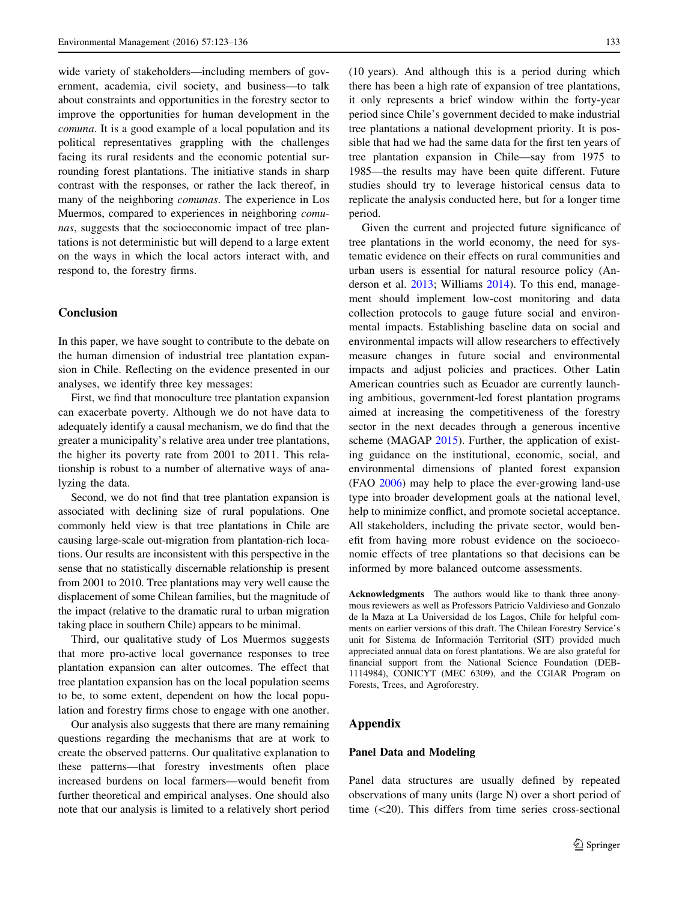<span id="page-10-0"></span>wide variety of stakeholders—including members of government, academia, civil society, and business—to talk about constraints and opportunities in the forestry sector to improve the opportunities for human development in the comuna. It is a good example of a local population and its political representatives grappling with the challenges facing its rural residents and the economic potential surrounding forest plantations. The initiative stands in sharp contrast with the responses, or rather the lack thereof, in many of the neighboring comunas. The experience in Los Muermos, compared to experiences in neighboring comunas, suggests that the socioeconomic impact of tree plantations is not deterministic but will depend to a large extent on the ways in which the local actors interact with, and respond to, the forestry firms.

# Conclusion

In this paper, we have sought to contribute to the debate on the human dimension of industrial tree plantation expansion in Chile. Reflecting on the evidence presented in our analyses, we identify three key messages:

First, we find that monoculture tree plantation expansion can exacerbate poverty. Although we do not have data to adequately identify a causal mechanism, we do find that the greater a municipality's relative area under tree plantations, the higher its poverty rate from 2001 to 2011. This relationship is robust to a number of alternative ways of analyzing the data.

Second, we do not find that tree plantation expansion is associated with declining size of rural populations. One commonly held view is that tree plantations in Chile are causing large-scale out-migration from plantation-rich locations. Our results are inconsistent with this perspective in the sense that no statistically discernable relationship is present from 2001 to 2010. Tree plantations may very well cause the displacement of some Chilean families, but the magnitude of the impact (relative to the dramatic rural to urban migration taking place in southern Chile) appears to be minimal.

Third, our qualitative study of Los Muermos suggests that more pro-active local governance responses to tree plantation expansion can alter outcomes. The effect that tree plantation expansion has on the local population seems to be, to some extent, dependent on how the local population and forestry firms chose to engage with one another.

Our analysis also suggests that there are many remaining questions regarding the mechanisms that are at work to create the observed patterns. Our qualitative explanation to these patterns—that forestry investments often place increased burdens on local farmers—would benefit from further theoretical and empirical analyses. One should also note that our analysis is limited to a relatively short period (10 years). And although this is a period during which there has been a high rate of expansion of tree plantations, it only represents a brief window within the forty-year period since Chile's government decided to make industrial tree plantations a national development priority. It is possible that had we had the same data for the first ten years of tree plantation expansion in Chile—say from 1975 to 1985—the results may have been quite different. Future studies should try to leverage historical census data to replicate the analysis conducted here, but for a longer time period.

Given the current and projected future significance of tree plantations in the world economy, the need for systematic evidence on their effects on rural communities and urban users is essential for natural resource policy (Anderson et al. [2013](#page-11-0); Williams [2014](#page-13-0)). To this end, management should implement low-cost monitoring and data collection protocols to gauge future social and environmental impacts. Establishing baseline data on social and environmental impacts will allow researchers to effectively measure changes in future social and environmental impacts and adjust policies and practices. Other Latin American countries such as Ecuador are currently launching ambitious, government-led forest plantation programs aimed at increasing the competitiveness of the forestry sector in the next decades through a generous incentive scheme (MAGAP [2015](#page-12-0)). Further, the application of existing guidance on the institutional, economic, social, and environmental dimensions of planted forest expansion (FAO [2006\)](#page-12-0) may help to place the ever-growing land-use type into broader development goals at the national level, help to minimize conflict, and promote societal acceptance. All stakeholders, including the private sector, would benefit from having more robust evidence on the socioeconomic effects of tree plantations so that decisions can be informed by more balanced outcome assessments.

Acknowledgments The authors would like to thank three anonymous reviewers as well as Professors Patricio Valdivieso and Gonzalo de la Maza at La Universidad de los Lagos, Chile for helpful comments on earlier versions of this draft. The Chilean Forestry Service's unit for Sistema de Información Territorial (SIT) provided much appreciated annual data on forest plantations. We are also grateful for financial support from the National Science Foundation (DEB-1114984), CONICYT (MEC 6309), and the CGIAR Program on Forests, Trees, and Agroforestry.

# Appendix

#### Panel Data and Modeling

Panel data structures are usually defined by repeated observations of many units (large N) over a short period of time  $(\leq 20)$ . This differs from time series cross-sectional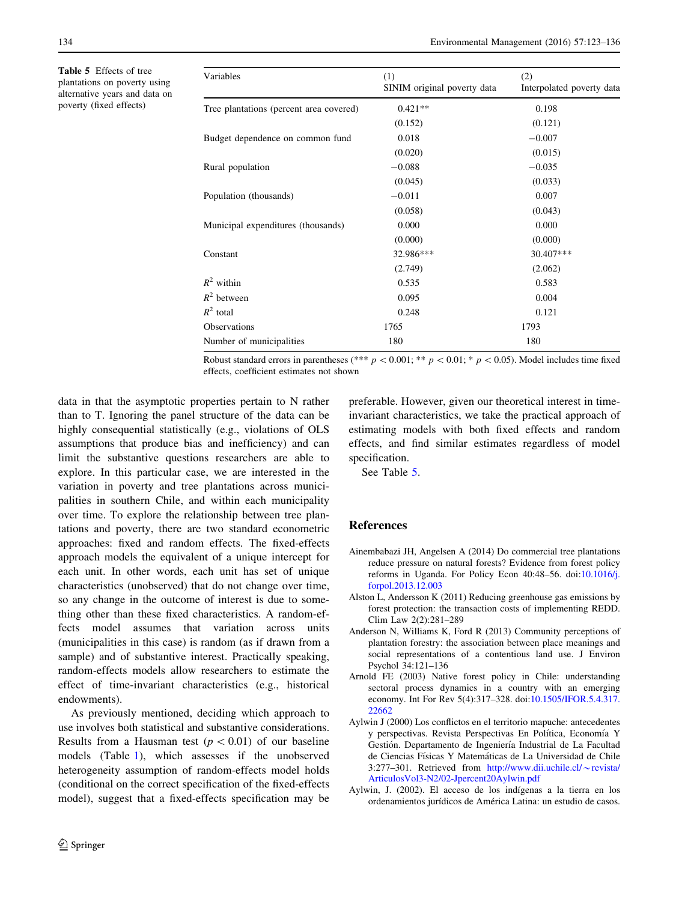<span id="page-11-0"></span>Table 5 Effects of tree plantations on poverty using alternative years and data on poverty (fixed effects)

| Variables                               | (1)                         | (2)                       |
|-----------------------------------------|-----------------------------|---------------------------|
|                                         | SINIM original poverty data | Interpolated poverty data |
| Tree plantations (percent area covered) | $0.421**$                   | 0.198                     |
|                                         | (0.152)                     | (0.121)                   |
| Budget dependence on common fund        | 0.018                       | $-0.007$                  |
|                                         | (0.020)                     | (0.015)                   |
| Rural population                        | $-0.088$                    | $-0.035$                  |
|                                         | (0.045)                     | (0.033)                   |
| Population (thousands)                  | $-0.011$                    | 0.007                     |
|                                         | (0.058)                     | (0.043)                   |
| Municipal expenditures (thousands)      | 0.000                       | 0.000                     |
|                                         | (0.000)                     | (0.000)                   |
| Constant                                | 32.986***                   | 30.407***                 |
|                                         | (2.749)                     | (2.062)                   |
| $R^2$ within                            | 0.535                       | 0.583                     |
| $R^2$ between                           | 0.095                       | 0.004                     |
| $R^2$ total                             | 0.248                       | 0.121                     |
| <b>Observations</b>                     | 1765                        | 1793                      |
| Number of municipalities                | 180                         | 180                       |

Robust standard errors in parentheses (\*\*\*  $p < 0.001$ ; \*\*  $p < 0.01$ ; \*  $p < 0.05$ ). Model includes time fixed effects, coefficient estimates not shown

data in that the asymptotic properties pertain to N rather than to T. Ignoring the panel structure of the data can be highly consequential statistically (e.g., violations of OLS assumptions that produce bias and inefficiency) and can limit the substantive questions researchers are able to explore. In this particular case, we are interested in the variation in poverty and tree plantations across municipalities in southern Chile, and within each municipality over time. To explore the relationship between tree plantations and poverty, there are two standard econometric approaches: fixed and random effects. The fixed-effects approach models the equivalent of a unique intercept for each unit. In other words, each unit has set of unique characteristics (unobserved) that do not change over time, so any change in the outcome of interest is due to something other than these fixed characteristics. A random-effects model assumes that variation across units (municipalities in this case) is random (as if drawn from a sample) and of substantive interest. Practically speaking, random-effects models allow researchers to estimate the effect of time-invariant characteristics (e.g., historical endowments).

As previously mentioned, deciding which approach to use involves both statistical and substantive considerations. Results from a Hausman test ( $p < 0.01$ ) of our baseline models (Table [1](#page-6-0)), which assesses if the unobserved heterogeneity assumption of random-effects model holds (conditional on the correct specification of the fixed-effects model), suggest that a fixed-effects specification may be preferable. However, given our theoretical interest in timeinvariant characteristics, we take the practical approach of estimating models with both fixed effects and random effects, and find similar estimates regardless of model specification.

See Table 5.

### References

- Ainembabazi JH, Angelsen A (2014) Do commercial tree plantations reduce pressure on natural forests? Evidence from forest policy reforms in Uganda. For Policy Econ 40:48–56. doi:[10.1016/j.](http://dx.doi.org/10.1016/j.forpol.2013.12.003) [forpol.2013.12.003](http://dx.doi.org/10.1016/j.forpol.2013.12.003)
- Alston L, Andersson K (2011) Reducing greenhouse gas emissions by forest protection: the transaction costs of implementing REDD. Clim Law 2(2):281–289
- Anderson N, Williams K, Ford R (2013) Community perceptions of plantation forestry: the association between place meanings and social representations of a contentious land use. J Environ Psychol 34:121–136
- Arnold FE (2003) Native forest policy in Chile: understanding sectoral process dynamics in a country with an emerging economy. Int For Rev 5(4):317–328. doi[:10.1505/IFOR.5.4.317.](http://dx.doi.org/10.1505/IFOR.5.4.317.22662) [22662](http://dx.doi.org/10.1505/IFOR.5.4.317.22662)
- Aylwin J (2000) Los conflictos en el territorio mapuche: antecedentes y perspectivas. Revista Perspectivas En Política, Economía Y Gestión. Departamento de Ingeniería Industrial de La Facultad de Ciencias Físicas Y Matemáticas de La Universidad de Chile 3:277–301. Retrieved from  $http://www.dii.uchile_cl/~revista/$ [ArticulosVol3-N2/02-Jpercent20Aylwin.pdf](http://www.dii.uchile.cl/%7erevista/ArticulosVol3-N2/02-Jpercent20Aylwin.pdf)
- Aylwin, J. (2002). El acceso de los indı´genas a la tierra en los ordenamientos jurídicos de América Latina: un estudio de casos.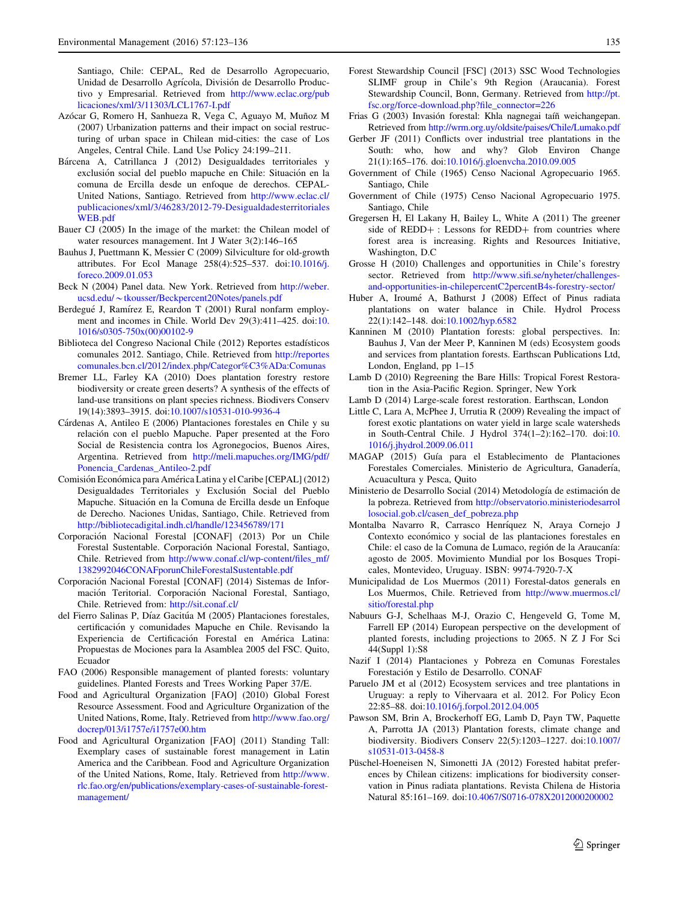<span id="page-12-0"></span>Santiago, Chile: CEPAL, Red de Desarrollo Agropecuario, Unidad de Desarrollo Agrícola, División de Desarrollo Productivo y Empresarial. Retrieved from [http://www.eclac.org/pub](http://www.eclac.org/publicaciones/xml/3/11303/LCL1767-I.pdf) [licaciones/xml/3/11303/LCL1767-I.pdf](http://www.eclac.org/publicaciones/xml/3/11303/LCL1767-I.pdf)

- Azócar G, Romero H, Sanhueza R, Vega C, Aguayo M, Muñoz M (2007) Urbanization patterns and their impact on social restructuring of urban space in Chilean mid-cities: the case of Los Angeles, Central Chile. Land Use Policy 24:199–211.
- Bárcena A, Catrillanca J (2012) Desigualdades territoriales y exclusión social del pueblo mapuche en Chile: Situación en la comuna de Ercilla desde un enfoque de derechos. CEPAL-United Nations, Santiago. Retrieved from [http://www.eclac.cl/](http://www.eclac.cl/publicaciones/xml/3/46283/2012-79-DesigualdadesterritorialesWEB.pdf) [publicaciones/xml/3/46283/2012-79-Desigualdadesterritoriales](http://www.eclac.cl/publicaciones/xml/3/46283/2012-79-DesigualdadesterritorialesWEB.pdf) [WEB.pdf](http://www.eclac.cl/publicaciones/xml/3/46283/2012-79-DesigualdadesterritorialesWEB.pdf)
- Bauer CJ (2005) In the image of the market: the Chilean model of water resources management. Int J Water 3(2):146-165
- Bauhus J, Puettmann K, Messier C (2009) Silviculture for old-growth attributes. For Ecol Manage 258(4):525–537. doi:[10.1016/j.](http://dx.doi.org/10.1016/j.foreco.2009.01.053) [foreco.2009.01.053](http://dx.doi.org/10.1016/j.foreco.2009.01.053)
- Beck N (2004) Panel data. New York. Retrieved from [http://weber.](http://weber.ucsd.edu/%7etkousser/Beckpercent20Notes/panels.pdf) ucsd.edu/~[tkousser/Beckpercent20Notes/panels.pdf](http://weber.ucsd.edu/%7etkousser/Beckpercent20Notes/panels.pdf)
- Berdegué J, Ramírez E, Reardon T (2001) Rural nonfarm employment and incomes in Chile. World Dev 29(3):411–425. doi:[10.](http://dx.doi.org/10.1016/s0305-750x(00)00102-9) [1016/s0305-750x\(00\)00102-9](http://dx.doi.org/10.1016/s0305-750x(00)00102-9)
- Biblioteca del Congreso Nacional Chile (2012) Reportes estadísticos comunales 2012. Santiago, Chile. Retrieved from [http://reportes](http://reportescomunales.bcn.cl/2012/index.php/Categor%25C3%25ADa:Comunas) [comunales.bcn.cl/2012/index.php/Categor%C3%ADa:Comunas](http://reportescomunales.bcn.cl/2012/index.php/Categor%25C3%25ADa:Comunas)
- Bremer LL, Farley KA (2010) Does plantation forestry restore biodiversity or create green deserts? A synthesis of the effects of land-use transitions on plant species richness. Biodivers Conserv 19(14):3893–3915. doi[:10.1007/s10531-010-9936-4](http://dx.doi.org/10.1007/s10531-010-9936-4)
- Cárdenas A, Antileo E (2006) Plantaciones forestales en Chile y su relación con el pueblo Mapuche. Paper presented at the Foro Social de Resistencia contra los Agronegocios, Buenos Aires, Argentina. Retrieved from [http://meli.mapuches.org/IMG/pdf/](http://meli.mapuches.org/IMG/pdf/Ponencia_Cardenas_Antileo-2.pdf) [Ponencia\\_Cardenas\\_Antileo-2.pdf](http://meli.mapuches.org/IMG/pdf/Ponencia_Cardenas_Antileo-2.pdf)
- Comisión Económica para América Latina y el Caribe [CEPAL] (2012) Desigualdades Territoriales y Exclusión Social del Pueblo Mapuche. Situación en la Comuna de Ercilla desde un Enfoque de Derecho. Naciones Unidas, Santiago, Chile. Retrieved from <http://bibliotecadigital.indh.cl/handle/123456789/171>
- Corporación Nacional Forestal [CONAF] (2013) Por un Chile Forestal Sustentable. Corporación Nacional Forestal, Santiago, Chile. Retrieved from [http://www.conaf.cl/wp-content/files\\_mf/](http://www.conaf.cl/wp-content/files_mf/1382992046CONAFporunChileForestalSustentable.pdf) [1382992046CONAFporunChileForestalSustentable.pdf](http://www.conaf.cl/wp-content/files_mf/1382992046CONAFporunChileForestalSustentable.pdf)
- Corporación Nacional Forestal [CONAF] (2014) Sistemas de Información Teritorial. Corporación Nacional Forestal, Santiago, Chile. Retrieved from: <http://sit.conaf.cl/>
- del Fierro Salinas P, Díaz Gacitúa M (2005) Plantaciones forestales, certificación y comunidades Mapuche en Chile. Revisando la Experiencia de Certificación Forestal en América Latina: Propuestas de Mociones para la Asamblea 2005 del FSC. Quito, Ecuador
- FAO (2006) Responsible management of planted forests: voluntary guidelines. Planted Forests and Trees Working Paper 37/E.
- Food and Agricultural Organization [FAO] (2010) Global Forest Resource Assessment. Food and Agriculture Organization of the United Nations, Rome, Italy. Retrieved from [http://www.fao.org/](http://www.fao.org/docrep/013/i1757e/i1757e00.htm) [docrep/013/i1757e/i1757e00.htm](http://www.fao.org/docrep/013/i1757e/i1757e00.htm)
- Food and Agricultural Organization [FAO] (2011) Standing Tall: Exemplary cases of sustainable forest management in Latin America and the Caribbean. Food and Agriculture Organization of the United Nations, Rome, Italy. Retrieved from [http://www.](http://www.rlc.fao.org/en/publications/exemplary-cases-of-sustainable-forest-management/) [rlc.fao.org/en/publications/exemplary-cases-of-sustainable-forest](http://www.rlc.fao.org/en/publications/exemplary-cases-of-sustainable-forest-management/)[management/](http://www.rlc.fao.org/en/publications/exemplary-cases-of-sustainable-forest-management/)
- Forest Stewardship Council [FSC] (2013) SSC Wood Technologies SLIMF group in Chile's 9th Region (Araucania). Forest Stewardship Council, Bonn, Germany. Retrieved from [http://pt.](http://pt.fsc.org/force-download.php%3ffile_connector%3d226) [fsc.org/force-download.php?file\\_connector=226](http://pt.fsc.org/force-download.php%3ffile_connector%3d226)
- Frias G (2003) Invasión forestal: Khla nagnegai taíñ weichangepan. Retrieved from <http://wrm.org.uy/oldsite/paises/Chile/Lumako.pdf>
- Gerber JF (2011) Conflicts over industrial tree plantations in the South: who, how and why? Glob Environ Change 21(1):165–176. doi:[10.1016/j.gloenvcha.2010.09.005](http://dx.doi.org/10.1016/j.gloenvcha.2010.09.005)
- Government of Chile (1965) Censo Nacional Agropecuario 1965. Santiago, Chile
- Government of Chile (1975) Censo Nacional Agropecuario 1975. Santiago, Chile
- Gregersen H, El Lakany H, Bailey L, White A (2011) The greener side of REDD+: Lessons for REDD+ from countries where forest area is increasing. Rights and Resources Initiative, Washington, D.C
- Grosse H (2010) Challenges and opportunities in Chile's forestry sector. Retrieved from [http://www.sifi.se/nyheter/challenges](http://www.sifi.se/nyheter/challenges-and-opportunities-in-chilepercentC2percentB4s-forestry-sector/)[and-opportunities-in-chilepercentC2percentB4s-forestry-sector/](http://www.sifi.se/nyheter/challenges-and-opportunities-in-chilepercentC2percentB4s-forestry-sector/)
- Huber A, Iroumé A, Bathurst J (2008) Effect of Pinus radiata plantations on water balance in Chile. Hydrol Process 22(1):142–148. doi:[10.1002/hyp.6582](http://dx.doi.org/10.1002/hyp.6582)
- Kanninen M (2010) Plantation forests: global perspectives. In: Bauhus J, Van der Meer P, Kanninen M (eds) Ecosystem goods and services from plantation forests. Earthscan Publications Ltd, London, England, pp 1–15
- Lamb D (2010) Regreening the Bare Hills: Tropical Forest Restoration in the Asia-Pacific Region. Springer, New York
- Lamb D (2014) Large-scale forest restoration. Earthscan, London
- Little C, Lara A, McPhee J, Urrutia R (2009) Revealing the impact of forest exotic plantations on water yield in large scale watersheds in South-Central Chile. J Hydrol 374(1–2):162–170. doi:[10.](http://dx.doi.org/10.1016/j.jhydrol.2009.06.011) [1016/j.jhydrol.2009.06.011](http://dx.doi.org/10.1016/j.jhydrol.2009.06.011)
- MAGAP (2015) Guı´a para el Establecimento de Plantaciones Forestales Comerciales. Ministerio de Agricultura, Ganadería, Acuacultura y Pesca, Quito
- Ministerio de Desarrollo Social (2014) Metodología de estimación de la pobreza. Retrieved from [http://observatorio.ministeriodesarrol](http://observatorio.ministeriodesarrollosocial.gob.cl/casen_def_pobreza.php) [losocial.gob.cl/casen\\_def\\_pobreza.php](http://observatorio.ministeriodesarrollosocial.gob.cl/casen_def_pobreza.php)
- Montalba Navarro R, Carrasco Henríquez N, Araya Cornejo J Contexto económico y social de las plantaciones forestales en Chile: el caso de la Comuna de Lumaco, región de la Araucanía: agosto de 2005. Movimiento Mundial por los Bosques Tropicales, Montevideo, Uruguay. ISBN: 9974-7920-7-X
- Municipalidad de Los Muermos (2011) Forestal-datos generals en Los Muermos, Chile. Retrieved from [http://www.muermos.cl/](http://www.muermos.cl/sitio/forestal.php) [sitio/forestal.php](http://www.muermos.cl/sitio/forestal.php)
- Nabuurs G-J, Schelhaas M-J, Orazio C, Hengeveld G, Tome M, Farrell EP (2014) European perspective on the development of planted forests, including projections to 2065. N Z J For Sci 44(Suppl 1):S8
- Nazif I (2014) Plantaciones y Pobreza en Comunas Forestales Forestación y Estilo de Desarrollo. CONAF
- Paruelo JM et al (2012) Ecosystem services and tree plantations in Uruguay: a reply to Vihervaara et al. 2012. For Policy Econ 22:85–88. doi[:10.1016/j.forpol.2012.04.005](http://dx.doi.org/10.1016/j.forpol.2012.04.005)
- Pawson SM, Brin A, Brockerhoff EG, Lamb D, Payn TW, Paquette A, Parrotta JA (2013) Plantation forests, climate change and biodiversity. Biodivers Conserv 22(5):1203–1227. doi[:10.1007/](http://dx.doi.org/10.1007/s10531-013-0458-8) [s10531-013-0458-8](http://dx.doi.org/10.1007/s10531-013-0458-8)
- Püschel-Hoeneisen N, Simonetti JA (2012) Forested habitat preferences by Chilean citizens: implications for biodiversity conservation in Pinus radiata plantations. Revista Chilena de Historia Natural 85:161–169. doi[:10.4067/S0716-078X2012000200002](http://dx.doi.org/10.4067/S0716-078X2012000200002)